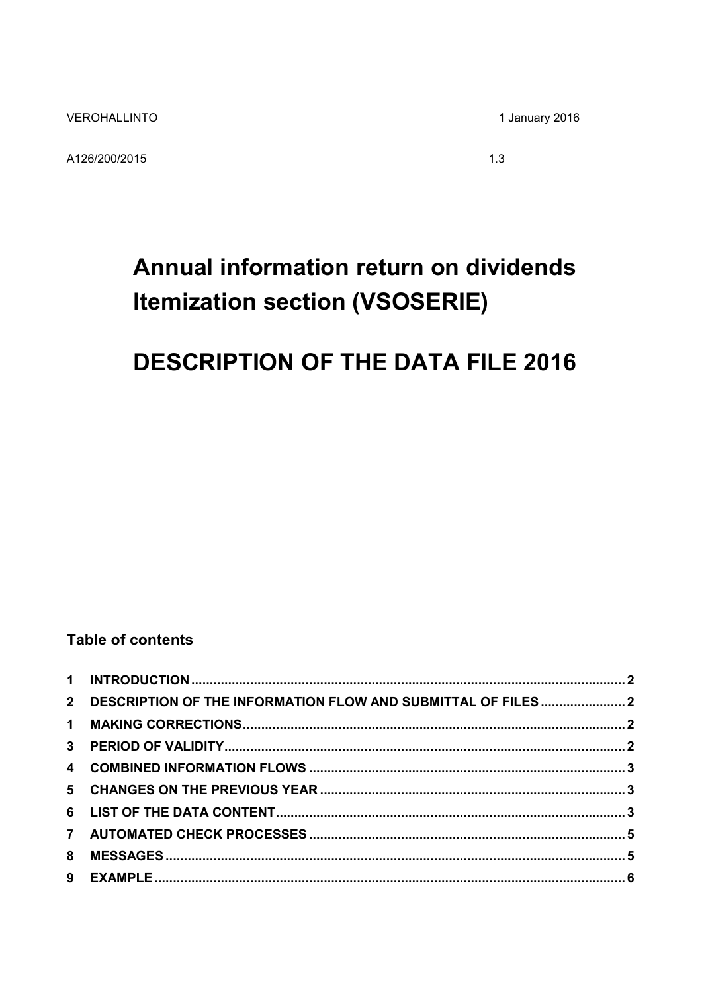A126/200/2015

1 January 2016

 $1.3$ 

# Annual information return on dividends **Itemization section (VSOSERIE)**

## **DESCRIPTION OF THE DATA FILE 2016**

## **Table of contents**

| 2 DESCRIPTION OF THE INFORMATION FLOW AND SUBMITTAL OF FILES  2 |  |
|-----------------------------------------------------------------|--|
|                                                                 |  |
|                                                                 |  |
|                                                                 |  |
|                                                                 |  |
|                                                                 |  |
|                                                                 |  |
|                                                                 |  |
|                                                                 |  |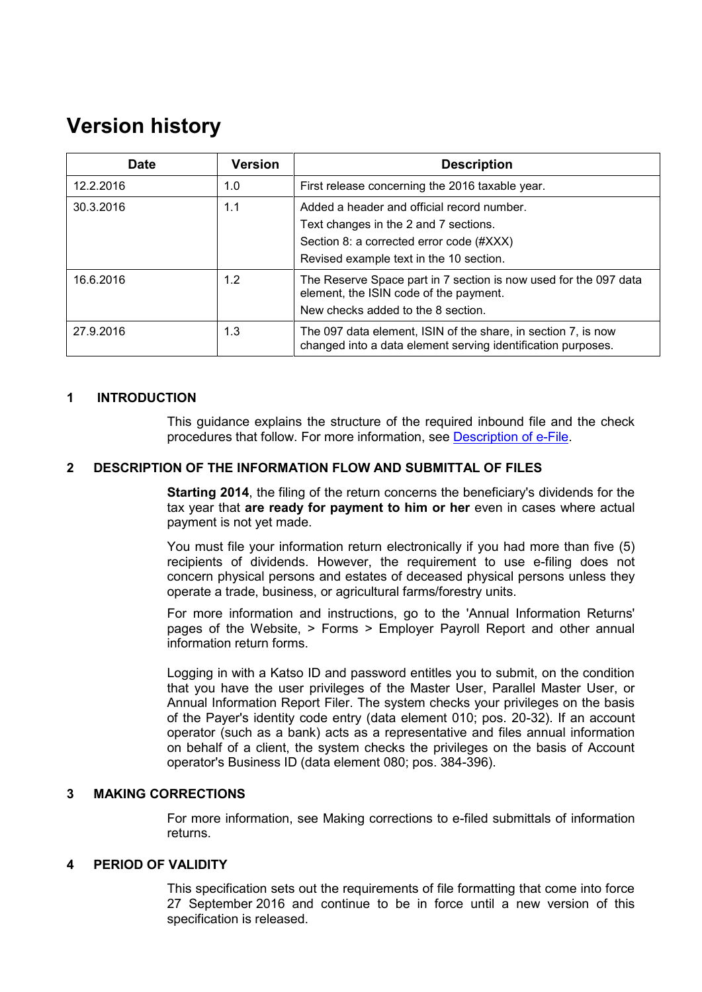## **Version history**

| Date      | <b>Version</b> | <b>Description</b>                                                                                                                                                         |
|-----------|----------------|----------------------------------------------------------------------------------------------------------------------------------------------------------------------------|
| 12.2.2016 | 1.0            | First release concerning the 2016 taxable year.                                                                                                                            |
| 30.3.2016 | 1.1            | Added a header and official record number.<br>Text changes in the 2 and 7 sections.<br>Section 8: a corrected error code (#XXX)<br>Revised example text in the 10 section. |
| 16.6.2016 | 1.2            | The Reserve Space part in 7 section is now used for the 097 data<br>element, the ISIN code of the payment.<br>New checks added to the 8 section.                           |
| 27.9.2016 | 1.3            | The 097 data element, ISIN of the share, in section 7, is now<br>changed into a data element serving identification purposes.                                              |

#### <span id="page-1-0"></span>**1 INTRODUCTION**

This guidance explains the structure of the required inbound file and the check procedures that follow. For more information, see [Description of e-File.](http://www.vero.fi/download/Sahkoisen_ilmoittamisen_yleiskuvaus_ENGL20/%7B956D482C-4A28-48D2-BE25-00112D97AE00%7D/12064)

#### <span id="page-1-1"></span>**2 DESCRIPTION OF THE INFORMATION FLOW AND SUBMITTAL OF FILES**

**Starting 2014**, the filing of the return concerns the beneficiary's dividends for the tax year that **are ready for payment to him or her** even in cases where actual payment is not yet made.

You must file your information return electronically if you had more than five (5) recipients of dividends. However, the requirement to use e-filing does not concern physical persons and estates of deceased physical persons unless they operate a trade, business, or agricultural farms/forestry units.

For more information and instructions, go to the 'Annual Information Returns' pages of the Website, > Forms > Employer Payroll Report and other annual information return forms.

Logging in with a Katso ID and password entitles you to submit, on the condition that you have the user privileges of the Master User, Parallel Master User, or Annual Information Report Filer. The system checks your privileges on the basis of the Payer's identity code entry (data element 010; pos. 20-32). If an account operator (such as a bank) acts as a representative and files annual information on behalf of a client, the system checks the privileges on the basis of Account operator's Business ID (data element 080; pos. 384-396).

#### <span id="page-1-2"></span>**3 MAKING CORRECTIONS**

For more information, see Making corrections to e-filed submittals of information returns.

#### <span id="page-1-3"></span>**4 PERIOD OF VALIDITY**

This specification sets out the requirements of file formatting that come into force 27 September 2016 and continue to be in force until a new version of this specification is released.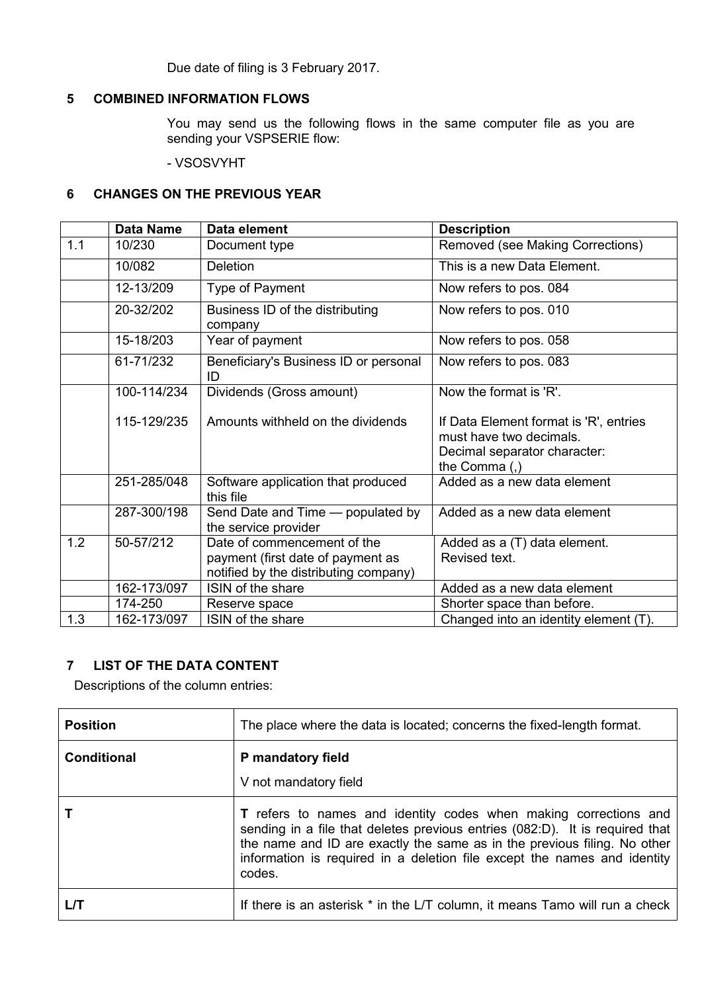Due date of filing is 3 February 2017.

### <span id="page-2-0"></span>**5 COMBINED INFORMATION FLOWS**

You may send us the following flows in the same computer file as you are sending your VSPSERIE flow:

- VSOSVYHT

#### <span id="page-2-1"></span>**6 CHANGES ON THE PREVIOUS YEAR**

|     | <b>Data Name</b> | Data element                                                                                              | <b>Description</b>                                                                                                   |
|-----|------------------|-----------------------------------------------------------------------------------------------------------|----------------------------------------------------------------------------------------------------------------------|
| 1.1 | 10/230           | Document type                                                                                             | Removed (see Making Corrections)                                                                                     |
|     | 10/082           | <b>Deletion</b>                                                                                           | This is a new Data Element.                                                                                          |
|     | 12-13/209        | Type of Payment                                                                                           | Now refers to pos. 084                                                                                               |
|     | 20-32/202        | Business ID of the distributing<br>company                                                                | Now refers to pos. 010                                                                                               |
|     | 15-18/203        | Year of payment                                                                                           | Now refers to pos. 058                                                                                               |
|     | 61-71/232        | Beneficiary's Business ID or personal<br>ID                                                               | Now refers to pos. 083                                                                                               |
|     | 100-114/234      | Dividends (Gross amount)                                                                                  | Now the format is 'R'.                                                                                               |
|     | 115-129/235      | Amounts withheld on the dividends                                                                         | If Data Element format is 'R', entries<br>must have two decimals.<br>Decimal separator character:<br>the Comma $(,)$ |
|     | 251-285/048      | Software application that produced<br>this file                                                           | Added as a new data element                                                                                          |
|     | 287-300/198      | Send Date and Time - populated by<br>the service provider                                                 | Added as a new data element                                                                                          |
| 1.2 | 50-57/212        | Date of commencement of the<br>payment (first date of payment as<br>notified by the distributing company) | Added as a (T) data element.<br>Revised text.                                                                        |
|     | 162-173/097      | ISIN of the share                                                                                         | Added as a new data element                                                                                          |
|     | 174-250          | Reserve space                                                                                             | Shorter space than before.                                                                                           |
| 1.3 | 162-173/097      | ISIN of the share                                                                                         | Changed into an identity element (T).                                                                                |

## <span id="page-2-2"></span>**7 LIST OF THE DATA CONTENT**

Descriptions of the column entries:

| <b>Position</b>    | The place where the data is located; concerns the fixed-length format.                                                                                                                                                                                                                                             |
|--------------------|--------------------------------------------------------------------------------------------------------------------------------------------------------------------------------------------------------------------------------------------------------------------------------------------------------------------|
| <b>Conditional</b> | P mandatory field<br>V not mandatory field                                                                                                                                                                                                                                                                         |
|                    | T refers to names and identity codes when making corrections and<br>sending in a file that deletes previous entries (082:D). It is required that<br>the name and ID are exactly the same as in the previous filing. No other<br>information is required in a deletion file except the names and identity<br>codes. |
|                    | If there is an asterisk * in the L/T column, it means Tamo will run a check                                                                                                                                                                                                                                        |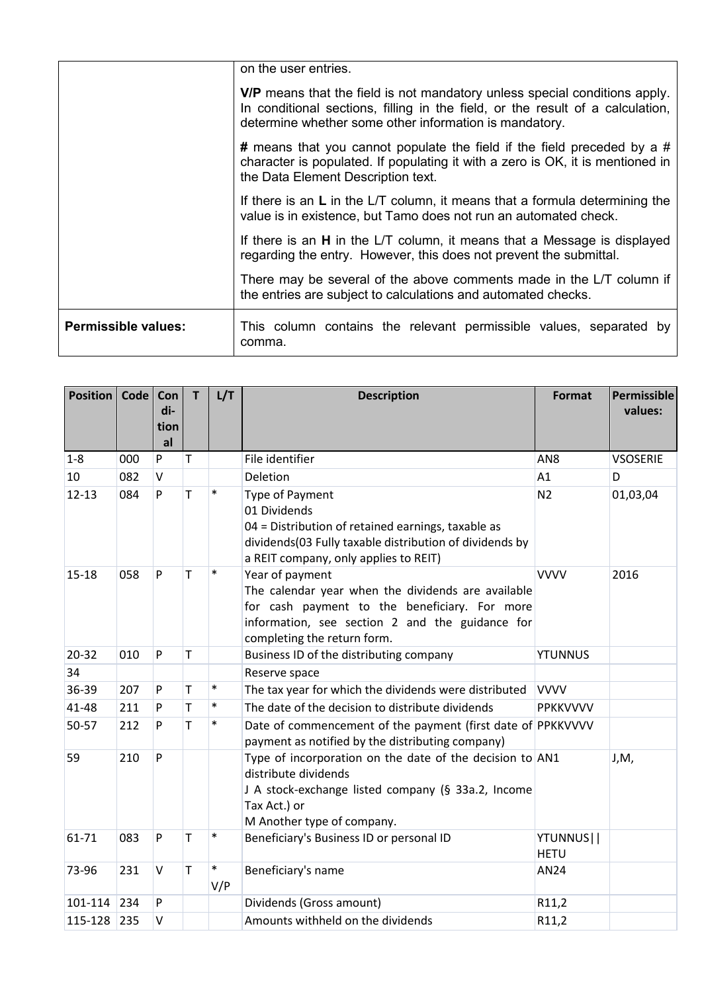|                            | on the user entries.                                                                                                                                                                                                   |
|----------------------------|------------------------------------------------------------------------------------------------------------------------------------------------------------------------------------------------------------------------|
|                            | V/P means that the field is not mandatory unless special conditions apply.<br>In conditional sections, filling in the field, or the result of a calculation,<br>determine whether some other information is mandatory. |
|                            | # means that you cannot populate the field if the field preceded by a #<br>character is populated. If populating it with a zero is OK, it is mentioned in<br>the Data Element Description text.                        |
|                            | If there is an $L$ in the $LT$ column, it means that a formula determining the<br>value is in existence, but Tamo does not run an automated check.                                                                     |
|                            | If there is an <b>H</b> in the L/T column, it means that a Message is displayed<br>regarding the entry. However, this does not prevent the submittal.                                                                  |
|                            | There may be several of the above comments made in the L/T column if<br>the entries are subject to calculations and automated checks.                                                                                  |
| <b>Permissible values:</b> | This column contains the relevant permissible values, separated by<br>comma.                                                                                                                                           |

| <b>Position</b> | Code | Con<br>di-<br>tion<br>al | T | L/T           | <b>Description</b>                                                                                                                                                                                       | <b>Format</b>            | Permissible<br>values: |
|-----------------|------|--------------------------|---|---------------|----------------------------------------------------------------------------------------------------------------------------------------------------------------------------------------------------------|--------------------------|------------------------|
| $1 - 8$         | 000  | P                        | т |               | File identifier                                                                                                                                                                                          | AN <sub>8</sub>          | <b>VSOSERIE</b>        |
| 10              | 082  | $\vee$                   |   |               | Deletion                                                                                                                                                                                                 | A1                       | D                      |
| $12 - 13$       | 084  | P                        | T | $\ast$        | <b>Type of Payment</b><br>01 Dividends<br>04 = Distribution of retained earnings, taxable as<br>dividends(03 Fully taxable distribution of dividends by<br>a REIT company, only applies to REIT)         | N <sub>2</sub>           | 01,03,04               |
| $15 - 18$       | 058  | P                        | T | $\ast$        | Year of payment<br>The calendar year when the dividends are available<br>for cash payment to the beneficiary. For more<br>information, see section 2 and the guidance for<br>completing the return form. | <b>VVVV</b>              | 2016                   |
| $20 - 32$       | 010  | P                        | T |               | Business ID of the distributing company                                                                                                                                                                  | <b>YTUNNUS</b>           |                        |
| 34              |      |                          |   |               | Reserve space                                                                                                                                                                                            |                          |                        |
| 36-39           | 207  | P                        | T | $\ast$        | The tax year for which the dividends were distributed                                                                                                                                                    | <b>VVVV</b>              |                        |
| 41-48           | 211  | P                        | T | $\ast$        | The date of the decision to distribute dividends                                                                                                                                                         | PPKKVVVV                 |                        |
| 50-57           | 212  | P                        | T | $\ast$        | Date of commencement of the payment (first date of PPKKVVVV<br>payment as notified by the distributing company)                                                                                          |                          |                        |
| 59              | 210  | P                        |   |               | Type of incorporation on the date of the decision to AN1<br>distribute dividends<br>J A stock-exchange listed company (§ 33a.2, Income<br>Tax Act.) or<br>M Another type of company.                     |                          | J,M,                   |
| 61-71           | 083  | P                        | T | $\ast$        | Beneficiary's Business ID or personal ID                                                                                                                                                                 | YTUNNUS  <br><b>HETU</b> |                        |
| 73-96           | 231  | V                        | T | $\ast$<br>V/P | Beneficiary's name                                                                                                                                                                                       | <b>AN24</b>              |                        |
| 101-114         | 234  | P                        |   |               | Dividends (Gross amount)                                                                                                                                                                                 | R11,2                    |                        |
| 115-128         | 235  | V                        |   |               | Amounts withheld on the dividends                                                                                                                                                                        | R11,2                    |                        |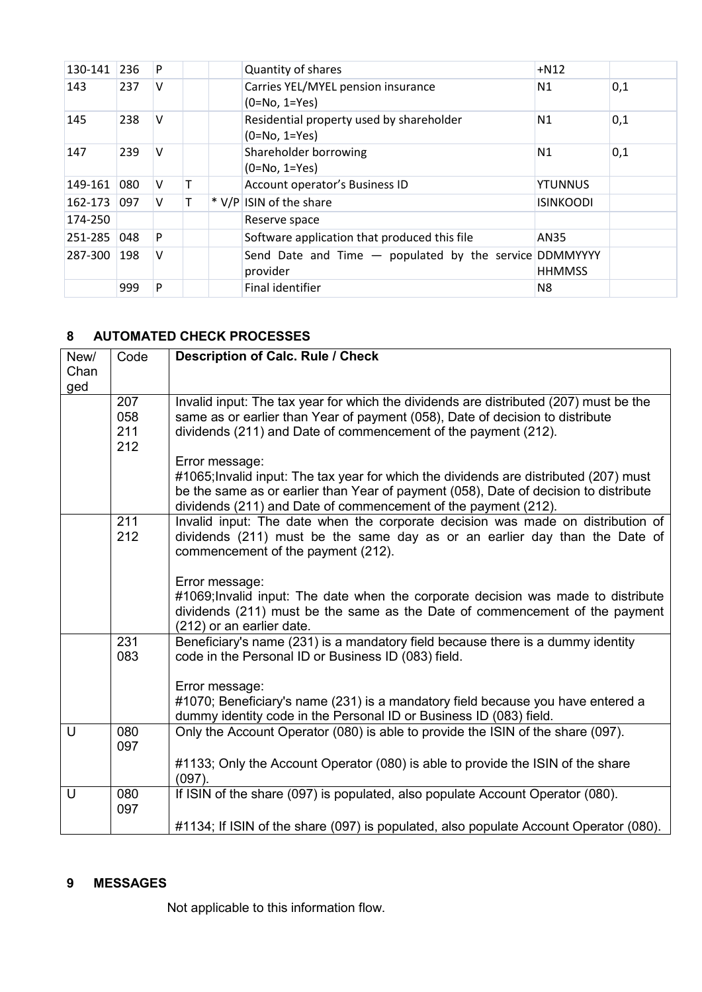| 130-141 | 236 | P |  | Quantity of shares                                                   | $+N12$           |     |
|---------|-----|---|--|----------------------------------------------------------------------|------------------|-----|
| 143     | 237 | V |  | Carries YEL/MYEL pension insurance<br>$(0=No, 1=Yes)$                | N <sub>1</sub>   | 0,1 |
| 145     | 238 | V |  | Residential property used by shareholder<br>$(0=No, 1=Yes)$          | N <sub>1</sub>   | 0,1 |
| 147     | 239 | v |  | Shareholder borrowing<br>$(0=No, 1=Yes)$                             | N1               | 0,1 |
| 149-161 | 080 | V |  | Account operator's Business ID                                       | <b>YTUNNUS</b>   |     |
| 162-173 | 097 | V |  | * V/P ISIN of the share                                              | <b>ISINKOODI</b> |     |
| 174-250 |     |   |  | Reserve space                                                        |                  |     |
| 251-285 | 048 | P |  | Software application that produced this file                         | AN35             |     |
| 287-300 | 198 | V |  | Send Date and Time $-$ populated by the service DDMMYYYY<br>provider | <b>HHMMSS</b>    |     |
|         | 999 | P |  | <b>Final identifier</b>                                              | N8               |     |

## <span id="page-4-0"></span>**8 AUTOMATED CHECK PROCESSES**

| New/<br>Chan<br>ged | Code                     | <b>Description of Calc. Rule / Check</b>                                                                                                                                                                                                                          |
|---------------------|--------------------------|-------------------------------------------------------------------------------------------------------------------------------------------------------------------------------------------------------------------------------------------------------------------|
|                     | 207<br>058<br>211<br>212 | Invalid input: The tax year for which the dividends are distributed (207) must be the<br>same as or earlier than Year of payment (058), Date of decision to distribute<br>dividends (211) and Date of commencement of the payment (212).                          |
|                     |                          | Error message:<br>#1065; Invalid input: The tax year for which the dividends are distributed (207) must<br>be the same as or earlier than Year of payment (058), Date of decision to distribute<br>dividends (211) and Date of commencement of the payment (212). |
|                     | 211<br>212               | Invalid input: The date when the corporate decision was made on distribution of<br>dividends (211) must be the same day as or an earlier day than the Date of<br>commencement of the payment (212).                                                               |
|                     |                          | Error message:<br>#1069; Invalid input: The date when the corporate decision was made to distribute<br>dividends (211) must be the same as the Date of commencement of the payment<br>(212) or an earlier date.                                                   |
|                     | 231<br>083               | Beneficiary's name (231) is a mandatory field because there is a dummy identity<br>code in the Personal ID or Business ID (083) field.                                                                                                                            |
|                     |                          | Error message:<br>#1070; Beneficiary's name (231) is a mandatory field because you have entered a<br>dummy identity code in the Personal ID or Business ID (083) field.                                                                                           |
| $\cup$              | 080<br>097               | Only the Account Operator (080) is able to provide the ISIN of the share (097).                                                                                                                                                                                   |
|                     |                          | #1133; Only the Account Operator (080) is able to provide the ISIN of the share<br>(097)                                                                                                                                                                          |
| U                   | 080<br>097               | If ISIN of the share (097) is populated, also populate Account Operator (080).                                                                                                                                                                                    |
|                     |                          | #1134; If ISIN of the share (097) is populated, also populate Account Operator (080).                                                                                                                                                                             |

#### <span id="page-4-1"></span>**9 MESSAGES**

Not applicable to this information flow.